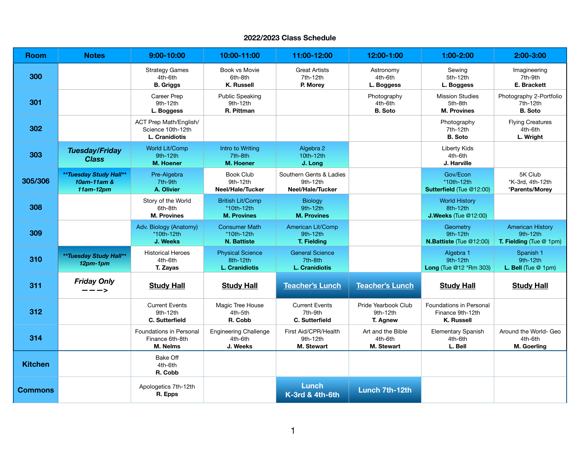## **2022/2023 Class Schedule**

| <b>Room</b>    | <b>Notes</b>                                              | 9:00-10:00                                                    | 10:00-11:00                                                  | 11:00-12:00                                                | 12:00-1:00                                  | 1:00-2:00                                                        | 2:00-3:00                                                      |
|----------------|-----------------------------------------------------------|---------------------------------------------------------------|--------------------------------------------------------------|------------------------------------------------------------|---------------------------------------------|------------------------------------------------------------------|----------------------------------------------------------------|
| 300            |                                                           | <b>Strategy Games</b><br>4th-6th<br><b>B.</b> Griggs          | Book vs Movie<br>6th-8th<br><b>K. Russell</b>                | <b>Great Artists</b><br>7th-12th<br>P. Morey               | Astronomy<br>4th-6th<br>L. Boggess          | Sewing<br>5th-12th<br>L. Boggess                                 | Imagineering<br>7th-9th<br>E. Brackett                         |
| 301            |                                                           | Career Prep<br>9th-12th<br>L. Boggess                         | <b>Public Speaking</b><br>9th-12th<br>R. Pittman             |                                                            | Photography<br>4th-6th<br><b>B.</b> Soto    | <b>Mission Studies</b><br>5th-8th<br><b>M. Provines</b>          | Photography 2-Portfolio<br>7th-12th<br><b>B.</b> Soto          |
| 302            |                                                           | ACT Prep Math/English/<br>Science 10th-12th<br>L. Cranidiotis |                                                              |                                                            |                                             | Photography<br>7th-12th<br><b>B.</b> Soto                        | <b>Flying Creatures</b><br>4th-6th<br>L. Wright                |
| 303            | <b>Tuesday/Friday</b><br><b>Class</b>                     | World Lit/Comp<br>9th-12th<br><b>M. Hoener</b>                | Intro to Writing<br>7th-8th<br><b>M. Hoener</b>              | Algebra 2<br>10th-12th<br>J. Long                          |                                             | <b>Liberty Kids</b><br>4th-6th<br>J. Harville                    |                                                                |
| 305/306        | <b>**Tuesday Study Hall**</b><br>10am-11am &<br>11am-12pm | Pre-Algebra<br>7th-9th<br>A. Olivier                          | <b>Book Club</b><br>9th-12th<br>Neel/Hale/Tucker             | Southern Gents & Ladies<br>9th-12th<br>Neel/Hale/Tucker    |                                             | Gov/Econ<br>*10th-12th<br>Sutterfield (Tue @12:00)               | 5K Club<br>*K-3rd, 4th-12th<br>*Parents/Morey                  |
| 308            |                                                           | Story of the World<br>6th-8th<br><b>M. Provines</b>           | <b>British Lit/Comp</b><br>*10th-12th<br><b>M. Provines</b>  | <b>Biology</b><br>9th-12th<br><b>M. Provines</b>           |                                             | <b>World History</b><br>8th-12th<br>J.Weeks (Tue @12:00)         |                                                                |
| 309            |                                                           | Adv. Biology (Anatomy)<br>*10th-12th<br>J. Weeks              | <b>Consumer Math</b><br>*10th-12th<br><b>N. Battiste</b>     | American Lit/Comp<br>9th-12th<br>T. Fielding               |                                             | Geometry<br>9th-12th<br>N.Battiste (Tue @12:00)                  | <b>American History</b><br>9th-12th<br>T. Fielding (Tue @ 1pm) |
| 310            | **Tuesday Study Hall**<br>$12pm-1pm$                      | <b>Historical Heroes</b><br>4th-6th<br>T. Zayas               | <b>Physical Science</b><br>8th-12th<br><b>L. Cranidiotis</b> | <b>General Science</b><br>7th-8th<br><b>L. Cranidiotis</b> |                                             | Algebra 1<br>9th-12th<br>Long (Tue @12 *Rm 303)                  | Spanish 1<br>9th-12th<br>L. Bell (Tue @ 1pm)                   |
| 311            | <b>Friday Only</b><br>$---$                               | <b>Study Hall</b>                                             | <b>Study Hall</b>                                            | <b>Teacher's Lunch</b>                                     | <b>Teacher's Lunch</b>                      | <b>Study Hall</b>                                                | <b>Study Hall</b>                                              |
| 312            |                                                           | <b>Current Events</b><br>9th-12th<br>C. Sutterfield           | Magic Tree House<br>4th-5th<br>R. Cobb                       | <b>Current Events</b><br>7th-9th<br>C. Sutterfield         | Pride Yearbook Club<br>9th-12th<br>T. Agnew | Foundations in Personal<br>Finance 9th-12th<br><b>K. Russell</b> |                                                                |
| 314            |                                                           | <b>Foundations in Personal</b><br>Finance 6th-8th<br>M. Nelms | <b>Engineering Challenge</b><br>4th-6th<br>J. Weeks          | First Aid/CPR/Health<br>9th-12th<br><b>M. Stewart</b>      | Art and the Bible<br>4th-6th<br>M. Stewart  | <b>Elementary Spanish</b><br>4th-6th<br>L. Bell                  | Around the World- Geo<br>4th-6th<br>M. Goerling                |
| <b>Kitchen</b> |                                                           | Bake Off<br>4th-6th<br>R. Cobb                                |                                                              |                                                            |                                             |                                                                  |                                                                |
| <b>Commons</b> |                                                           | Apologetics 7th-12th<br>R. Epps                               |                                                              | <b>Lunch</b><br>K-3rd & 4th-6th                            | Lunch 7th-12th                              |                                                                  |                                                                |